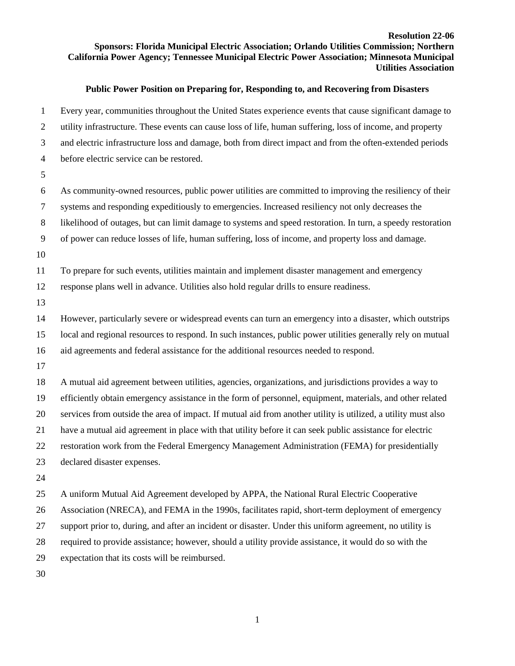## **Resolution 22-06 Sponsors: Florida Municipal Electric Association; Orlando Utilities Commission; Northern California Power Agency; Tennessee Municipal Electric Power Association; Minnesota Municipal Utilities Association**

## **Public Power Position on Preparing for, Responding to, and Recovering from Disasters**

 Every year, communities throughout the United States experience events that cause significant damage to utility infrastructure. These events can cause loss of life, human suffering, loss of income, and property and electric infrastructure loss and damage, both from direct impact and from the often-extended periods before electric service can be restored. As community-owned resources, public power utilities are committed to improving the resiliency of their systems and responding expeditiously to emergencies. Increased resiliency not only decreases the likelihood of outages, but can limit damage to systems and speed restoration. In turn, a speedy restoration of power can reduce losses of life, human suffering, loss of income, and property loss and damage. To prepare for such events, utilities maintain and implement disaster management and emergency response plans well in advance. Utilities also hold regular drills to ensure readiness. However, particularly severe or widespread events can turn an emergency into a disaster, which outstrips local and regional resources to respond. In such instances, public power utilities generally rely on mutual aid agreements and federal assistance for the additional resources needed to respond. A mutual aid agreement between utilities, agencies, organizations, and jurisdictions provides a way to efficiently obtain emergency assistance in the form of personnel, equipment, materials, and other related services from outside the area of impact. If mutual aid from another utility is utilized, a utility must also have a mutual aid agreement in place with that utility before it can seek public assistance for electric restoration work from the Federal Emergency Management Administration (FEMA) for presidentially declared disaster expenses. A uniform Mutual Aid Agreement developed by APPA, the National Rural Electric Cooperative Association (NRECA), and FEMA in the 1990s, facilitates rapid, short-term deployment of emergency support prior to, during, and after an incident or disaster. Under this uniform agreement, no utility is required to provide assistance; however, should a utility provide assistance, it would do so with the expectation that its costs will be reimbursed.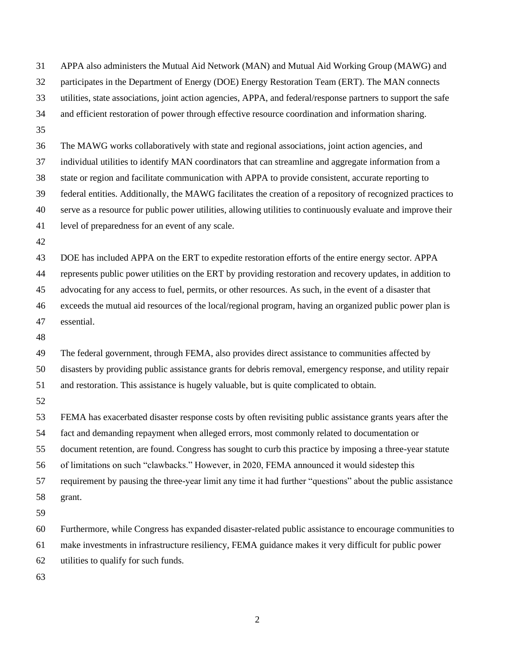APPA also administers the Mutual Aid Network (MAN) and Mutual Aid Working Group (MAWG) and participates in the Department of Energy (DOE) Energy Restoration Team (ERT). The MAN connects utilities, state associations, joint action agencies, APPA, and federal/response partners to support the safe and efficient restoration of power through effective resource coordination and information sharing. The MAWG works collaboratively with state and regional associations, joint action agencies, and individual utilities to identify MAN coordinators that can streamline and aggregate information from a state or region and facilitate communication with APPA to provide consistent, accurate reporting to federal entities. Additionally, the MAWG facilitates the creation of a repository of recognized practices to serve as a resource for public power utilities, allowing utilities to continuously evaluate and improve their level of preparedness for an event of any scale. DOE has included APPA on the ERT to expedite restoration efforts of the entire energy sector. APPA represents public power utilities on the ERT by providing restoration and recovery updates, in addition to advocating for any access to fuel, permits, or other resources. As such, in the event of a disaster that exceeds the mutual aid resources of the local/regional program, having an organized public power plan is essential. The federal government, through FEMA, also provides direct assistance to communities affected by disasters by providing public assistance grants for debris removal, emergency response, and utility repair and restoration. This assistance is hugely valuable, but is quite complicated to obtain. FEMA has exacerbated disaster response costs by often revisiting public assistance grants years after the fact and demanding repayment when alleged errors, most commonly related to documentation or document retention, are found. Congress has sought to curb this practice by imposing a three-year statute of limitations on such "clawbacks." However, in 2020, FEMA announced it would sidestep this requirement by pausing the three-year limit any time it had further "questions" about the public assistance grant. Furthermore, while Congress has expanded disaster-related public assistance to encourage communities to make investments in infrastructure resiliency, FEMA guidance makes it very difficult for public power utilities to qualify for such funds.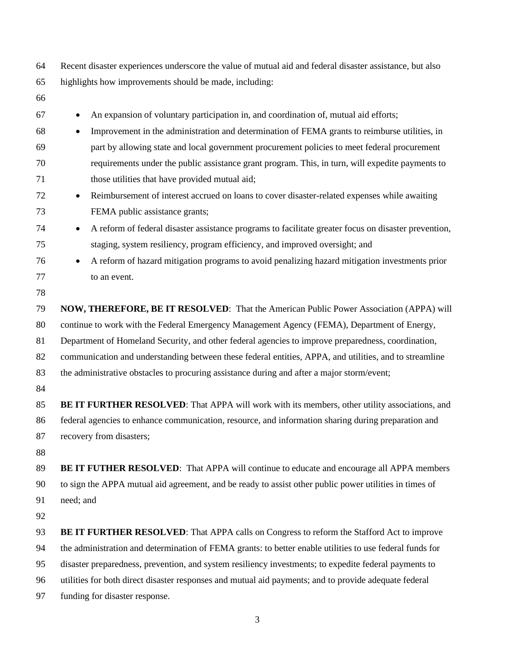Recent disaster experiences underscore the value of mutual aid and federal disaster assistance, but also highlights how improvements should be made, including:

- • An expansion of voluntary participation in, and coordination of, mutual aid efforts; • Improvement in the administration and determination of FEMA grants to reimburse utilities, in part by allowing state and local government procurement policies to meet federal procurement requirements under the public assistance grant program. This, in turn, will expedite payments to those utilities that have provided mutual aid; • Reimbursement of interest accrued on loans to cover disaster-related expenses while awaiting FEMA public assistance grants; <sup>74</sup> • A reform of federal disaster assistance programs to facilitate greater focus on disaster prevention, staging, system resiliency, program efficiency, and improved oversight; and • A reform of hazard mitigation programs to avoid penalizing hazard mitigation investments prior to an event. **NOW, THEREFORE, BE IT RESOLVED**: That the American Public Power Association (APPA) will continue to work with the Federal Emergency Management Agency (FEMA), Department of Energy, Department of Homeland Security, and other federal agencies to improve preparedness, coordination, communication and understanding between these federal entities, APPA, and utilities, and to streamline the administrative obstacles to procuring assistance during and after a major storm/event; **BE IT FURTHER RESOLVED**: That APPA will work with its members, other utility associations, and federal agencies to enhance communication, resource, and information sharing during preparation and recovery from disasters; **BE IT FUTHER RESOLVED**: That APPA will continue to educate and encourage all APPA members to sign the APPA mutual aid agreement, and be ready to assist other public power utilities in times of need; and **BE IT FURTHER RESOLVED**: That APPA calls on Congress to reform the Stafford Act to improve the administration and determination of FEMA grants: to better enable utilities to use federal funds for disaster preparedness, prevention, and system resiliency investments; to expedite federal payments to utilities for both direct disaster responses and mutual aid payments; and to provide adequate federal funding for disaster response.
	-